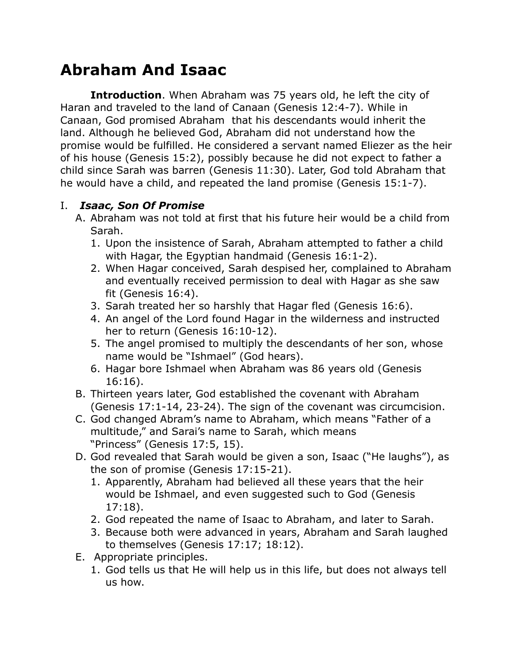# **Abraham And Isaac**

**Introduction**. When Abraham was 75 years old, he left the city of Haran and traveled to the land of Canaan (Genesis 12:4-7). While in Canaan, God promised Abraham that his descendants would inherit the land. Although he believed God, Abraham did not understand how the promise would be fulfilled. He considered a servant named Eliezer as the heir of his house (Genesis 15:2), possibly because he did not expect to father a child since Sarah was barren (Genesis 11:30). Later, God told Abraham that he would have a child, and repeated the land promise (Genesis 15:1-7).

## I. *Isaac, Son Of Promise*

- A. Abraham was not told at first that his future heir would be a child from Sarah.
	- 1. Upon the insistence of Sarah, Abraham attempted to father a child with Hagar, the Egyptian handmaid (Genesis 16:1-2).
	- 2. When Hagar conceived, Sarah despised her, complained to Abraham and eventually received permission to deal with Hagar as she saw fit (Genesis 16:4).
	- 3. Sarah treated her so harshly that Hagar fled (Genesis 16:6).
	- 4. An angel of the Lord found Hagar in the wilderness and instructed her to return (Genesis 16:10-12).
	- 5. The angel promised to multiply the descendants of her son, whose name would be "Ishmael" (God hears).
	- 6. Hagar bore Ishmael when Abraham was 86 years old (Genesis 16:16).
- B. Thirteen years later, God established the covenant with Abraham (Genesis 17:1-14, 23-24). The sign of the covenant was circumcision.
- C. God changed Abram's name to Abraham, which means "Father of a multitude," and Sarai's name to Sarah, which means "Princess" (Genesis 17:5, 15).
- D. God revealed that Sarah would be given a son, Isaac ("He laughs"), as the son of promise (Genesis 17:15-21).
	- 1. Apparently, Abraham had believed all these years that the heir would be Ishmael, and even suggested such to God (Genesis 17:18).
	- 2. God repeated the name of Isaac to Abraham, and later to Sarah.
	- 3. Because both were advanced in years, Abraham and Sarah laughed to themselves (Genesis 17:17; 18:12).
- E. Appropriate principles.
	- 1. God tells us that He will help us in this life, but does not always tell us how.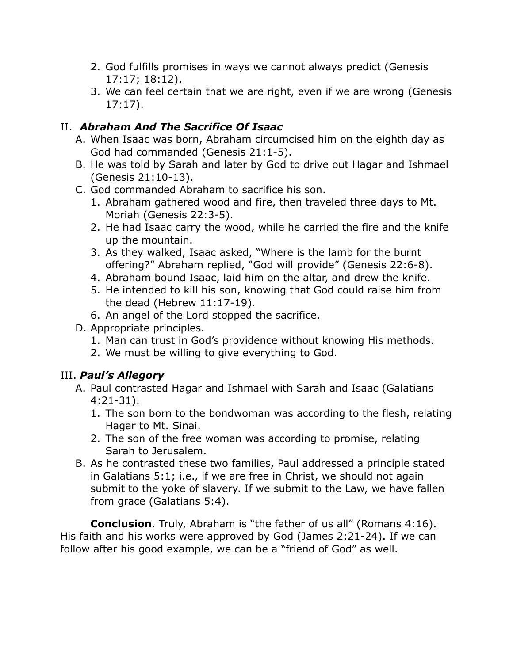- 2. God fulfills promises in ways we cannot always predict (Genesis 17:17; 18:12).
- 3. We can feel certain that we are right, even if we are wrong (Genesis 17:17).

### II. *Abraham And The Sacrifice Of Isaac*

- A. When Isaac was born, Abraham circumcised him on the eighth day as God had commanded (Genesis 21:1-5).
- B. He was told by Sarah and later by God to drive out Hagar and Ishmael (Genesis 21:10-13).
- C. God commanded Abraham to sacrifice his son.
	- 1. Abraham gathered wood and fire, then traveled three days to Mt. Moriah (Genesis 22:3-5).
	- 2. He had Isaac carry the wood, while he carried the fire and the knife up the mountain.
	- 3. As they walked, Isaac asked, "Where is the lamb for the burnt offering?" Abraham replied, "God will provide" (Genesis 22:6-8).
	- 4. Abraham bound Isaac, laid him on the altar, and drew the knife.
	- 5. He intended to kill his son, knowing that God could raise him from the dead (Hebrew 11:17-19).
	- 6. An angel of the Lord stopped the sacrifice.
- D. Appropriate principles.
	- 1. Man can trust in God's providence without knowing His methods.
	- 2. We must be willing to give everything to God.

### III. *Paul's Allegory*

- A. Paul contrasted Hagar and Ishmael with Sarah and Isaac (Galatians 4:21-31).
	- 1. The son born to the bondwoman was according to the flesh, relating Hagar to Mt. Sinai.
	- 2. The son of the free woman was according to promise, relating Sarah to Jerusalem.
- B. As he contrasted these two families, Paul addressed a principle stated in Galatians 5:1; i.e., if we are free in Christ, we should not again submit to the yoke of slavery. If we submit to the Law, we have fallen from grace (Galatians 5:4).

**Conclusion**. Truly, Abraham is "the father of us all" (Romans 4:16). His faith and his works were approved by God (James 2:21-24). If we can follow after his good example, we can be a "friend of God" as well.